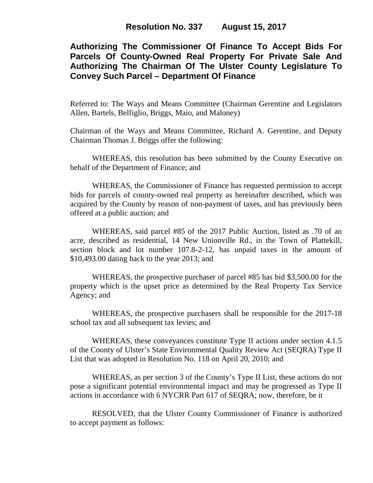# **Authorizing The Commissioner Of Finance To Accept Bids For Parcels Of County-Owned Real Property For Private Sale And Authorizing The Chairman Of The Ulster County Legislature To Convey Such Parcel – Department Of Finance**

Referred to: The Ways and Means Committee (Chairman Gerentine and Legislators Allen, Bartels, Belfiglio, Briggs, Maio, and Maloney)

Chairman of the Ways and Means Committee, Richard A. Gerentine, and Deputy Chairman Thomas J. Briggs offer the following:

WHEREAS, this resolution has been submitted by the County Executive on behalf of the Department of Finance; and

WHEREAS, the Commissioner of Finance has requested permission to accept bids for parcels of county-owned real property as hereinafter described, which was acquired by the County by reason of non-payment of taxes, and has previously been offered at a public auction; and

WHEREAS, said parcel #85 of the 2017 Public Auction, listed as .70 of an acre, described as residential, 14 New Unionville Rd., in the Town of Plattekill, section block and lot number 107.8-2-12, has unpaid taxes in the amount of \$10,493.00 dating back to the year 2013; and

WHEREAS, the prospective purchaser of parcel #85 has bid \$3,500.00 for the property which is the upset price as determined by the Real Property Tax Service Agency; and

WHEREAS, the prospective purchasers shall be responsible for the 2017-18 school tax and all subsequent tax levies; and

WHEREAS, these conveyances constitute Type II actions under section 4.1.5 of the County of Ulster's State Environmental Quality Review Act (SEQRA) Type II List that was adopted in Resolution No. 118 on April 20, 2010; and

WHEREAS, as per section 3 of the County's Type II List, these actions do not pose a significant potential environmental impact and may be progressed as Type II actions in accordance with 6 NYCRR Part 617 of SEQRA; now, therefore, be it

RESOLVED, that the Ulster County Commissioner of Finance is authorized to accept payment as follows: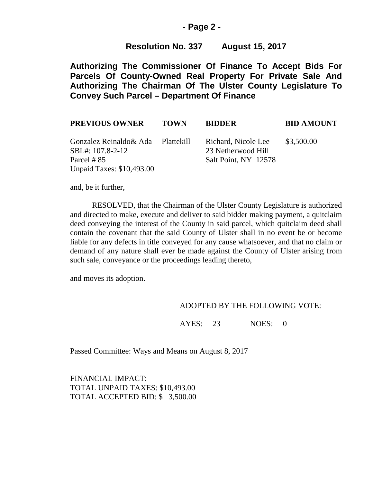## **- Page 2 -**

## **Resolution No. 337 August 15, 2017**

**Authorizing The Commissioner Of Finance To Accept Bids For Parcels Of County-Owned Real Property For Private Sale And Authorizing The Chairman Of The Ulster County Legislature To Convey Such Parcel – Department Of Finance**

| <b>PREVIOUS OWNER</b>                                                                                    | <b>TOWN</b> | <b>BIDDER</b>                                                     | <b>BID AMOUNT</b> |
|----------------------------------------------------------------------------------------------------------|-------------|-------------------------------------------------------------------|-------------------|
| Gonzalez Reinaldo& Ada Plattekill<br>SBL#: 107.8-2-12<br>Parcel # 85<br><b>Unpaid Taxes: \$10,493.00</b> |             | Richard, Nicole Lee<br>23 Netherwood Hill<br>Salt Point, NY 12578 | \$3,500.00        |

and, be it further,

RESOLVED, that the Chairman of the Ulster County Legislature is authorized and directed to make, execute and deliver to said bidder making payment, a quitclaim deed conveying the interest of the County in said parcel, which quitclaim deed shall contain the covenant that the said County of Ulster shall in no event be or become liable for any defects in title conveyed for any cause whatsoever, and that no claim or demand of any nature shall ever be made against the County of Ulster arising from such sale, conveyance or the proceedings leading thereto,

and moves its adoption.

#### ADOPTED BY THE FOLLOWING VOTE:

AYES: 23 NOES: 0

Passed Committee: Ways and Means on August 8, 2017

FINANCIAL IMPACT: TOTAL UNPAID TAXES: \$10,493.00 TOTAL ACCEPTED BID: \$ 3,500.00